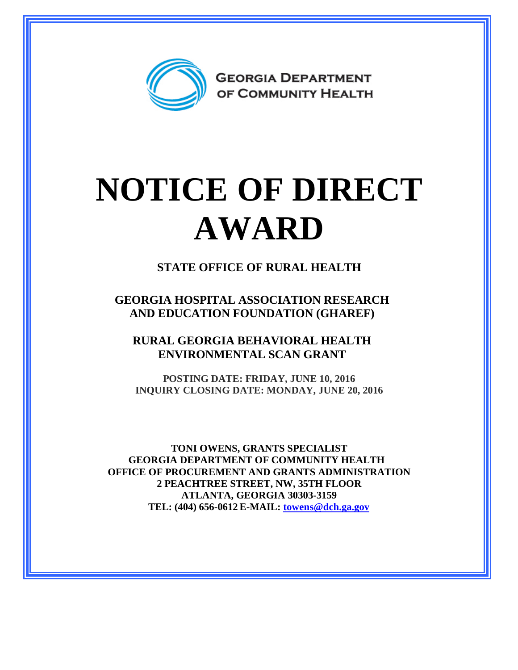

## **NOTICE OF DIRECT AWARD**

**STATE OFFICE OF RURAL HEALTH**

**GEORGIA HOSPITAL ASSOCIATION RESEARCH AND EDUCATION FOUNDATION (GHAREF)**

**RURAL GEORGIA BEHAVIORAL HEALTH ENVIRONMENTAL SCAN GRANT**

**POSTING DATE: FRIDAY, JUNE 10, 2016 INQUIRY CLOSING DATE: MONDAY, JUNE 20, 2016**

**TONI OWENS, GRANTS SPECIALIST GEORGIA DEPARTMENT OF COMMUNITY HEALTH OFFICE OF PROCUREMENT AND GRANTS ADMINISTRATION 2 PEACHTREE STREET, NW, 35TH FLOOR ATLANTA, GEORGIA 30303-3159 TEL: (404) 656-0612 E-MAIL: [towens@dch.ga.gov](mailto:towens@dch.ga.gov)**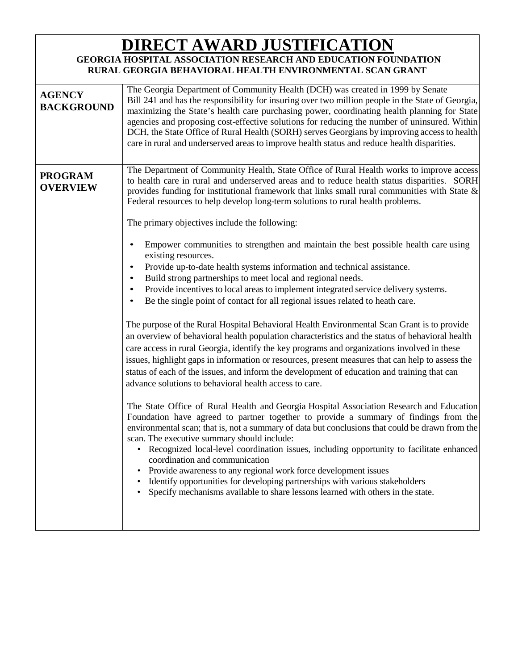## **DIRECT AWARD JUSTIFICATION**

## **GEORGIA HOSPITAL ASSOCIATION RESEARCH AND EDUCATION FOUNDATION RURAL GEORGIA BEHAVIORAL HEALTH ENVIRONMENTAL SCAN GRANT**

| <b>AGENCY</b><br><b>BACKGROUND</b> | The Georgia Department of Community Health (DCH) was created in 1999 by Senate<br>Bill 241 and has the responsibility for insuring over two million people in the State of Georgia,<br>maximizing the State's health care purchasing power, coordinating health planning for State<br>agencies and proposing cost-effective solutions for reducing the number of uninsured. Within<br>DCH, the State Office of Rural Health (SORH) serves Georgians by improving access to health<br>care in rural and underserved areas to improve health status and reduce health disparities.                                                                                                                                                                                                                                                                                                                                                                                                                                                                                                                                                                                                                                                                                                                                                                                                                                                                                                                                                                                                                                                                                                                                                                                                                                                                                                                                                                                                                                                                                                                                                                               |
|------------------------------------|----------------------------------------------------------------------------------------------------------------------------------------------------------------------------------------------------------------------------------------------------------------------------------------------------------------------------------------------------------------------------------------------------------------------------------------------------------------------------------------------------------------------------------------------------------------------------------------------------------------------------------------------------------------------------------------------------------------------------------------------------------------------------------------------------------------------------------------------------------------------------------------------------------------------------------------------------------------------------------------------------------------------------------------------------------------------------------------------------------------------------------------------------------------------------------------------------------------------------------------------------------------------------------------------------------------------------------------------------------------------------------------------------------------------------------------------------------------------------------------------------------------------------------------------------------------------------------------------------------------------------------------------------------------------------------------------------------------------------------------------------------------------------------------------------------------------------------------------------------------------------------------------------------------------------------------------------------------------------------------------------------------------------------------------------------------------------------------------------------------------------------------------------------------|
| <b>PROGRAM</b><br><b>OVERVIEW</b>  | The Department of Community Health, State Office of Rural Health works to improve access<br>to health care in rural and underserved areas and to reduce health status disparities. SORH<br>provides funding for institutional framework that links small rural communities with State $\&$<br>Federal resources to help develop long-term solutions to rural health problems.<br>The primary objectives include the following:<br>Empower communities to strengthen and maintain the best possible health care using<br>existing resources.<br>Provide up-to-date health systems information and technical assistance.<br>Build strong partnerships to meet local and regional needs.<br>Provide incentives to local areas to implement integrated service delivery systems.<br>$\bullet$<br>Be the single point of contact for all regional issues related to heath care.<br>The purpose of the Rural Hospital Behavioral Health Environmental Scan Grant is to provide<br>an overview of behavioral health population characteristics and the status of behavioral health<br>care access in rural Georgia, identify the key programs and organizations involved in these<br>issues, highlight gaps in information or resources, present measures that can help to assess the<br>status of each of the issues, and inform the development of education and training that can<br>advance solutions to behavioral health access to care.<br>The State Office of Rural Health and Georgia Hospital Association Research and Education<br>Foundation have agreed to partner together to provide a summary of findings from the<br>environmental scan; that is, not a summary of data but conclusions that could be drawn from the<br>scan. The executive summary should include:<br>Recognized local-level coordination issues, including opportunity to facilitate enhanced<br>$\bullet$<br>coordination and communication<br>Provide awareness to any regional work force development issues<br>Identify opportunities for developing partnerships with various stakeholders<br>Specify mechanisms available to share lessons learned with others in the state. |